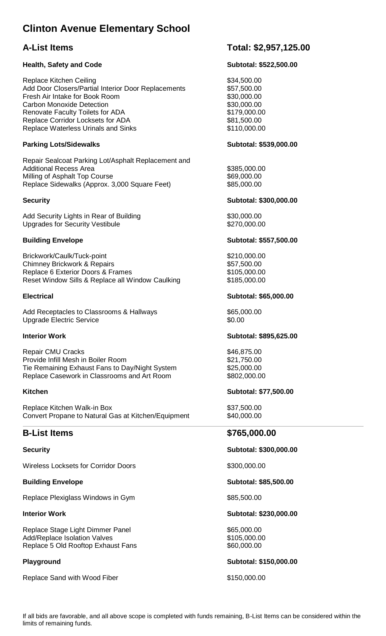# **Clinton Avenue Elementary School**

## **Health, Safety and Code Subtotal: \$522,500.00**

Replace Kitchen Ceiling **\$34,500.00** \$34,500.00 Add Door Closers/Partial Interior Door Replacements \$57,500.00 Fresh Air Intake for Book Room \$30,000.00 Carbon Monoxide Detection \$30,000.00 Renovate Faculty Toilets for ADA  $$179,000.00$ Replace Corridor Locksets for ADA  $$81,500.00$ Replace Waterless Urinals and Sinks **\$110,000.00** \$110,000.00

## Parking Lots/Sidewalks **Parking Lots/Sidewalks** Subtotal: \$539,000.00

Repair Sealcoat Parking Lot/Asphalt Replacement and Additional Recess Area **\$385,000.00** \$385,000.00 Milling of Asphalt Top Course  $$69,000.00$ Replace Sidewalks (Approx. 3,000 Square Feet) \$85,000.00

Add Security Lights in Rear of Building **\$30,000.00** \$30,000.00 Upgrades for Security Vestibule  $$270,000.00$ 

Brickwork/Caulk/Tuck-point \$210,000.00 Chimney Brickwork & Repairs<br>
Replace 6 Exterior Doors & Frames<br>
\$105,000.00 Replace 6 Exterior Doors & Frames Reset Window Sills & Replace all Window Caulking \$185,000.00

Add Receptacles to Classrooms & Hallways  $$65,000.00$ Upgrade Electric Service  $$0.00$ 

Repair CMU Cracks  $$46,875.00$ Provide Infill Mesh in Boiler Room \$21,750.00 Tie Remaining Exhaust Fans to Day/Night System \$25,000.00 Replace Casework in Classrooms and Art Room \$802,000.00

Replace Kitchen Walk-in Box \$37,500.00 Convert Propane to Natural Gas at Kitchen/Equipment \$40,000.00

Wireless Locksets for Corridor Doors **\$300,000.00** \$300,000.00

Replace Plexiglass Windows in Gym  $$85,500.00$ 

Replace Stage Light Dimmer Panel \$65,000.00 Add/Replace Isolation Valves \$105,000.00 Replace 5 Old Rooftop Exhaust Fans \$60,000.00

Replace Sand with Wood Fiber \$150,000.00

## **A-List Items Total: \$2,957,125.00**

## **Security Security Subtotal: \$300,000.00 Subtotal: \$300,000.00 Subtotal: \$300,000.00**

## **Building Envelope Contract Contract Contract Contract Contract Contract Contract Contract Contract Contract Contract Contract Contract Contract Contract Contract Contract Contract Contract Contract Contract Contract Contr**

## **Electrical Subtotal: \$65,000.00**

## **Interior Work Subtotal: \$895,625.00**

## **Kitchen Subtotal: \$77,500.00**

## **B-List Items \$765,000.00**

## **Security Subtotal: \$300,000.00**

## **Building Envelope Contract Contract Contract Contract Contract Contract Contract Contract Contract Contract Contract Contract Contract Contract Contract Contract Contract Contract Contract Contract Contract Contract Contr**

## **Interior Work 3230,000.00 Subtotal: \$230,000.00**

## **Playground Subtotal: \$150,000.00**

If all bids are favorable, and all above scope is completed with funds remaining, B-List Items can be considered within the limits of remaining funds.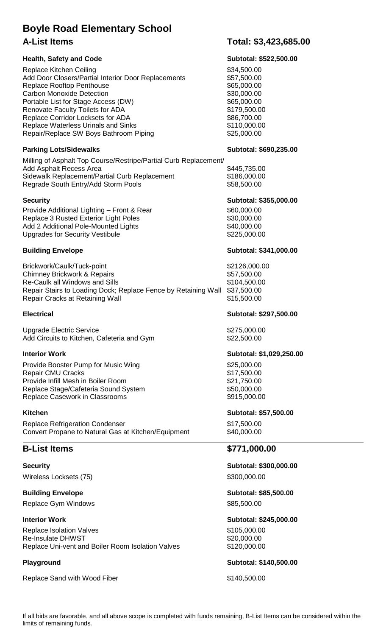# **Boyle Road Elementary School A-List Items Total: \$3,423,685.00**

## Health, Safety and Code **Subtotal: \$522,500.00** Subtotal: \$522,500.00

Replace Kitchen Ceiling **\$34,500.00** \$34,500.00 Add Door Closers/Partial Interior Door Replacements \$57,500.00 Replace Rooftop Penthouse **\$65,000.00** \$65,000.00 Carbon Monoxide Detection **\$30,000.00** \$30,000.00 Portable List for Stage Access (DW)  $$65,000.00$ Renovate Faculty Toilets for ADA  $$179,500.00$ Replace Corridor Locksets for ADA  $$86,700.00$ Replace Waterless Urinals and Sinks **\$110,000.00** \$110,000.00 Repair/Replace SW Boys Bathroom Piping  $$25,000.00$ 

## **Parking Lots/Sidewalks Subtotal: \$690,235.00 Subtotal: \$690,235.00**

Milling of Asphalt Top Course/Restripe/Partial Curb Replacement/ Add Asphalt Recess Area  $$445,735.00$ Sidewalk Replacement/Partial Curb Replacement \$186,000.00 Regrade South Entry/Add Storm Pools \$58,500.00

Provide Additional Lighting – Front & Rear \$60,000.00 Replace 3 Rusted Exterior Light Poles \$30,000.00 Add 2 Additional Pole-Mounted Lights \$40,000.00 Upgrades for Security Vestibule

Brickwork/Caulk/Tuck-point **\$2126,000.00** Chimney Brickwork & Repairs \$57,500.00 Re-Caulk all Windows and Sills \$104,500.00 Repair Stairs to Loading Dock; Replace Fence by Retaining Wall \$37,500.00 Repair Cracks at Retaining Wall  $$15,500.00$ 

Upgrade Electric Service  $$275,000.00$ Add Circuits to Kitchen, Cafeteria and Gym  $$22,500.00$ 

Provide Booster Pump for Music Wing **\$25,000.00** \$25,000.00 Repair CMU Cracks \$17,500.00 Provide Infill Mesh in Boiler Room \$21,750.00 Replace Stage/Cafeteria Sound System  $$50,000.00$ Replace Casework in Classrooms  $$915,000.00$ 

Replace Refrigeration Condenser **\$17,500.00** Convert Propane to Natural Gas at Kitchen/Equipment \$40,000.00

Wireless Locksets (75) \$300,000.00

**Building Envelope Contract Contract Contract Contract Contract Contract Contract Contract Contract Contract Contract Contract Contract Contract Contract Contract Contract Contract Contract Contract Contract Contract Contr** Replace Gym Windows **\$85,500.00** 

Replace Isolation Valves **\$105,000.00** \$105,000.00 Re-Insulate DHWST **\$20,000.00** Replace Uni-vent and Boiler Room Isolation Valves \$120,000.00

Replace Sand with Wood Fiber \$140,500.00

## **Security Subtotal: \$355,000.00**

## **Building Envelope Contract Contract Contract Contract Contract Contract Contract Contract Contract Contract Contract Contract Contract Contract Contract Contract Contract Contract Contract Contract Contract Contract Contr**

## **Electrical Subtotal: \$297,500.00**

## **Interior Work Subtotal: \$1,029,250.00**

## **Kitchen** Subtotal: \$57,500.00

## **B-List Items \$771,000.00**

**Security Subtotal: \$300,000.00** 

## **Interior Work 3245,000.00 Subtotal: \$245,000.00**

## Playground **Playground Playground Subtotal: \$140,500.00**

If all bids are favorable, and all above scope is completed with funds remaining, B-List Items can be considered within the limits of remaining funds.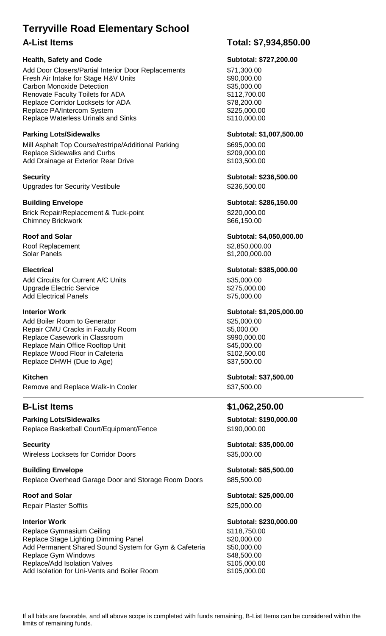# **Terryville Road Elementary School**

## **Health, Safety and Code Subtotal: \$727,200.00**

Add Door Closers/Partial Interior Door Replacements \$71,300.00 Fresh Air Intake for Stage H&V Units \$90,000.00 Carbon Monoxide Detection **\$35,000.00** \$35,000.00 Renovate Faculty Toilets for ADA  $$112,700.00$ Replace Corridor Locksets for ADA  $$78,200.00$ Replace PA/Intercom System  $$225,000.00$ Replace Waterless Urinals and Sinks **\$110,000.00** \$110,000.00

Mill Asphalt Top Course/restripe/Additional Parking \$695,000.00 Replace Sidewalks and Curbs \$209,000.00 Add Drainage at Exterior Rear Drive **\$103,500.00** 

**Security Subtotal: \$236,500.00**  Upgrades for Security Vestibule  $$236,500.00$ 

**Building Envelope Contract Contract Contract Contract Contract Contract Contract Contract Contract Contract Contract Contract Contract Contract Contract Contract Contract Contract Contract Contract Contract Contract Contr** Brick Repair/Replacement & Tuck-point  $$220,000.00$ Chimney Brickwork **\$66,150.00 \$66,150.00** 

Roof Replacement  $$2,850,000.00$ Solar Panels \$1,200,000.00

Add Circuits for Current A/C Units \$35,000.00 Upgrade Electric Service  $$275,000.00$ Add Electrical Panels **\$75,000.00** 

Add Boiler Room to Generator<br>
Repair CMU Cracks in Faculty Room<br>
\$5,000.00 Repair CMU Cracks in Faculty Room Replace Casework in Classroom **\$990,000.00** \$990,000.00 Replace Main Office Rooftop Unit  $$45,000.00$ Replace Wood Floor in Cafeteria  $$102,500.00$ Replace DHWH (Due to Age) \$37,500.00

**Kitchen** Subtotal: \$37,500.00 Remove and Replace Walk-In Cooler \$37,500.00

**Parking Lots/Sidewalks Community Community Community Community Community Community Community Community Community** Replace Basketball Court/Equipment/Fence \$190,000.00

**Security Subtotal: \$35,000.00**  Wireless Locksets for Corridor Doors **\$35,000.00** \$35,000.00

**Building Envelope Contract Contract Contract Contract Contract Contract Contract Contract Contract Contract Contract Contract Contract Contract Contract Contract Contract Contract Contract Contract Contract Contract Contr** Replace Overhead Garage Door and Storage Room Doors \$85,500.00

Repair Plaster Soffits **\$25,000.00** 

Replace Gymnasium Ceiling **\$118,750.00** Replace Stage Lighting Dimming Panel **\$20,000.00** Add Permanent Shared Sound System for Gym & Cafeteria \$50,000.00 Replace Gym Windows **\$48,500.00** \$48,500.00 Replace/Add Isolation Valves \$105,000.00 Add Isolation for Uni-Vents and Boiler Room \$105,000.00

# **A-List Items Total: \$7,934,850.00**

Parking Lots/Sidewalks **Parking Lots/Sidewalks** Subtotal: \$1,007,500.00

**Roof and Solar Subtotal: \$4,050,000.00** 

**Electrical Subtotal: \$385,000.00** 

**Interior Work Subtotal: \$1,205,000.00** 

# **B-List Items \$1,062,250.00**

Roof and Solar **New Subtotal: \$25,000.00** 

## **Interior Work Subtotal: \$230,000.00**

If all bids are favorable, and all above scope is completed with funds remaining, B-List Items can be considered within the limits of remaining funds.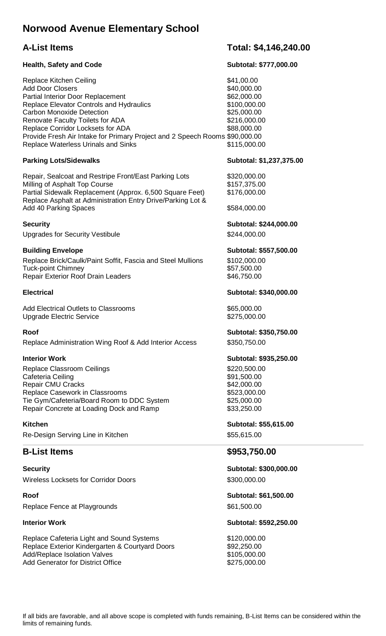# **Norwood Avenue Elementary School**

## **Health, Safety and Code Subtotal: \$777,000.00**

Replace Kitchen Ceiling **\$41,00.00** Add Door Closers \$40,000.00 Partial Interior Door Replacement \$62,000.00 Replace Elevator Controls and Hydraulics  $$100,000.00$ Carbon Monoxide Detection  $$25,000.00$ Renovate Faculty Toilets for ADA  $$216,000.00$ Replace Corridor Locksets for ADA  $$88,000.00$ Provide Fresh Air Intake for Primary Project and 2 Speech Rooms \$90,000.00 Replace Waterless Urinals and Sinks **\$115,000.00** 

## Parking Lots/Sidewalks **No. 2018** Subtotal: \$1,237,375.00

Repair, Sealcoat and Restripe Front/East Parking Lots \$320,000.00 Milling of Asphalt Top Course **\$157,375.00** Partial Sidewalk Replacement (Approx. 6,500 Square Feet) \$176,000.00 Replace Asphalt at Administration Entry Drive/Parking Lot & Add 40 Parking Spaces **\$584,000.00** 

Upgrades for Security Vestibule  $$244,000.00$ 

Replace Brick/Caulk/Paint Soffit, Fascia and Steel Mullions \$102,000.00 Tuck-point Chimney \$57,500.00<br>Repair Exterior Roof Drain Leaders \$46.750.00 Repair Exterior Roof Drain Leaders

Add Electrical Outlets to Classrooms  $$65,000.00$ Upgrade Electric Service  $$275,000.00$ 

Replace Administration Wing Roof & Add Interior Access \$350,750.00

Replace Classroom Ceilings **\$220,500.00** \$220,500.00 Cafeteria Ceiling **\$91,500.00** Repair CMU Cracks **\$42,000.00** Replace Casework in Classrooms  $$523,000.00$ Tie Gym/Cafeteria/Board Room to DDC System  $$25,000.00$ Repair Concrete at Loading Dock and Ramp \$33,250.00

Re-Design Serving Line in Kitchen **\$55,615.00** \$55,615.00

## **B-List Items \$953,750.00**

Wireless Locksets for Corridor Doors \$300,000.00

**Roof Subtotal: \$61,500.00**  Replace Fence at Playgrounds  $$61,500.00$ 

Replace Cafeteria Light and Sound Systems  $$120,000.00$ Replace Exterior Kindergarten & Courtyard Doors \$92,250.00 Add/Replace Isolation Valves  $$105,000.00$ Add Generator for District Office \$275,000.00

## **A-List Items Total: \$4,146,240.00**

# **Security Subtotal: \$244,000.00**

## **Building Envelope Subtotal: \$557,500.00**

## **Electrical Subtotal: \$340,000.00**

## **Roof Subtotal: \$350,750.00**

## **Interior Work Subtotal: \$935,250.00**

# **Kitchen** Subtotal: \$55,615.00

**Security Subtotal: \$300,000.00** 

## **Interior Work 30 and 20 and 20 and 20 and 20 and 20 and 20 and 20 and 20 and 20 and 20 and 20 and 20 and 20 and 20 and 20 and 20 and 20 and 20 and 20 and 20 and 20 and 20 and 20 and 20 and 20 and 20 and 20 and 20 and 20 a**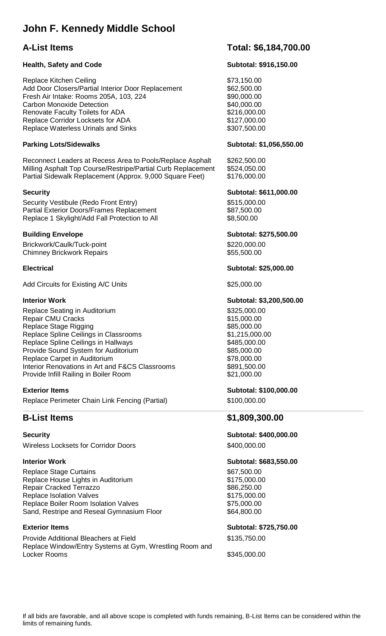# **John F. Kennedy Middle School**

## **Health, Safety and Code Subtotal: \$916,150.00 Subtotal: \$916,150.00**

Replace Kitchen Ceiling **\$73,150.00** \$73,150.00 Add Door Closers/Partial Interior Door Replacement \$62,500.00 Fresh Air Intake: Rooms 205A, 103, 224 \$90,000.00 Carbon Monoxide Detection  $$40,000.00$ Renovate Faculty Toilets for ADA  $$216,000.00$ Replace Corridor Locksets for ADA  $$127,000.00$ Replace Waterless Urinals and Sinks **\$307,500.00** \$307,500.00

## Parking Lots/Sidewalks **Parking Lots/Sidewalks** Subtotal: \$1,056,550.00

Reconnect Leaders at Recess Area to Pools/Replace Asphalt \$262,500.00 Milling Asphalt Top Course/Restripe/Partial Curb Replacement \$524,050.00 Partial Sidewalk Replacement (Approx. 9,000 Square Feet) \$176,000.00

Security Vestibule (Redo Front Entry) \$515,000.00 Partial Exterior Doors/Frames Replacement \$87,500.00 Replace 1 Skylight/Add Fall Protection to All \$8,500.00

Brickwork/Caulk/Tuck-point \$220,000.00 Chimney Brickwork Repairs **\$55,500.00** \$55,500.00

Add Circuits for Existing A/C Units  $$25,000.00$ 

Replace Seating in Auditorium **\$325,000.00** Repair CMU Cracks **\$15,000.00** Replace Stage Rigging  $$85,000.00$ Replace Spline Ceilings in Classrooms \$1,215,000.00 Replace Spline Ceilings in Hallways **\$485,000.00** Provide Sound System for Auditorium  $$85,000.00$ Replace Carpet in Auditorium  $$78,000.00$ Interior Renovations in Art and F&CS Classrooms \$891,500.00 Provide Infill Railing in Boiler Room  $$21,000.00$ 

Replace Perimeter Chain Link Fencing (Partial) \$100,000.00

Wireless Locksets for Corridor Doors **\$400,000.00** 

Replace Stage Curtains **\$67,500.00** Replace House Lights in Auditorium **\$175,000.00** Repair Cracked Terrazzo **\$86,250.00** Replace Isolation Valves **\$175,000.00** Replace Boiler Room Isolation Valves **\$75,000.00** \$75,000.00 Sand, Restripe and Reseal Gymnasium Floor \$64,800.00

Provide Additional Bleachers at Field \$135,750.00 Replace Window/Entry Systems at Gym, Wrestling Room and Locker Rooms \$345,000.00

## **A-List Items Total: \$6,184,700.00**

## **Security Subtotal: \$611,000.00**

**Building Envelope Subtotal: \$275,500.00** 

## **Electrical Subtotal: \$25,000.00**

## **Interior Work Subtotal: \$3,200,500.00**

## **Exterior Items 3100,000.00 Exterior Items** Subtotal: \$100,000.00

## **B-List Items \$1,809,300.00**

**Security Subtotal: \$400,000.00** 

## **Interior Work 30 and 20 and 20 and 20 and 20 and 20 and 20 and 20 and 20 and 20 and 20 and 20 and 20 and 20 and 20 and 20 and 20 and 20 and 20 and 20 and 20 and 20 and 20 and 20 and 20 and 20 and 20 and 20 and 20 and 20 a**

## Exterior Items **Exterior Items** Subtotal: \$725,750.00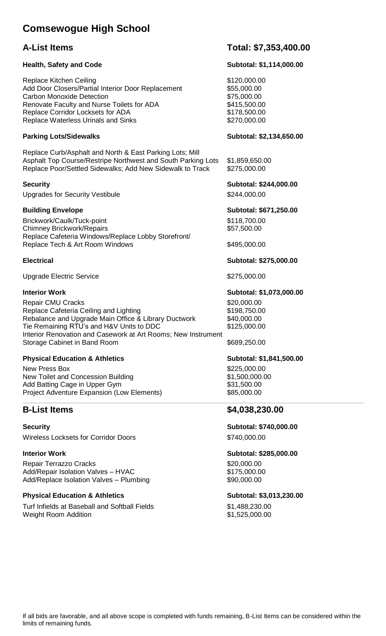# **Comsewogue High School**

## Health, Safety and Code **Subtotal: \$1,114,000.00**

Replace Kitchen Ceiling **\$120,000.00** \$120,000.00 Add Door Closers/Partial Interior Door Replacement \$55,000.00 Carbon Monoxide Detection \$75,000.00 Renovate Faculty and Nurse Toilets for ADA  $$415,500.00$ Replace Corridor Locksets for ADA  $$178,500.00$ Replace Waterless Urinals and Sinks **\$270,000.00** \$270,000.00

## Parking Lots/Sidewalks **Parking Lots/Sidewalks** Subtotal: \$2,134,650.00

Replace Curb/Asphalt and North & East Parking Lots; Mill Asphalt Top Course/Restripe Northwest and South Parking Lots \$1,859,650.00 Replace Poor/Settled Sidewalks; Add New Sidewalk to Track \$275,000.00

Upgrades for Security Vestibule  $$244,000.00$ 

Brickwork/Caulk/Tuck-point \$118,700.00 Chimney Brickwork/Repairs  $$57,500.00$ Replace Cafeteria Windows/Replace Lobby Storefront/ Replace Tech & Art Room Windows \$495,000.00

Upgrade Electric Service  $$275,000.00$ 

Repair CMU Cracks<br>Replace Cafeteria Ceiling and Lighting<br>\$198.750.00 Replace Cafeteria Ceiling and Lighting Rebalance and Upgrade Main Office & Library Ductwork \$40,000.00 Tie Remaining RTU's and H&V Units to DDC \$125,000.00 Interior Renovation and Casework at Art Rooms; New Instrument Storage Cabinet in Band Room \$689,250.00

## **Physical Education & Athletics Subtotal: \$1,841,500.00**

New Press Box  $$225,000.00$ New Toilet and Concession Building **\$1,500,000.00** Add Batting Cage in Upper Gym  $$31,500.00$ Project Adventure Expansion (Low Elements) \$85,000.00

Wireless Locksets for Corridor Doors **\$740,000.00** 

Repair Terrazzo Cracks **\$20,000.00** \$20,000.00 Add/Repair Isolation Valves – HVAC \$175,000.00 Add/Replace Isolation Valves – Plumbing  $$90,000.00$ 

## Physical Education & Athletics **Subtotal: \$3,013,230.00** Subtotal: \$3,013,230.00

Turf Infields at Baseball and Softball Fields \$1,488,230.00 Weight Room Addition **61,525,000.00** 

## **A-List Items Total: \$7,353,400.00**

**Security Subtotal: \$244,000.00** 

**Building Envelope Contract Contract Contract Contract Contract Contract Contract Contract Contract Contract Contract Contract Contract Contract Contract Contract Contract Contract Contract Contract Contract Contract Contr** 

**Electrical Subtotal: \$275,000.00** 

## **Interior Work Subtotal: \$1,073,000.00**

## **B-List Items \$4,038,230.00**

# **Security Subtotal: \$740,000.00**

# **Interior Work Subtotal: \$285,000.00**